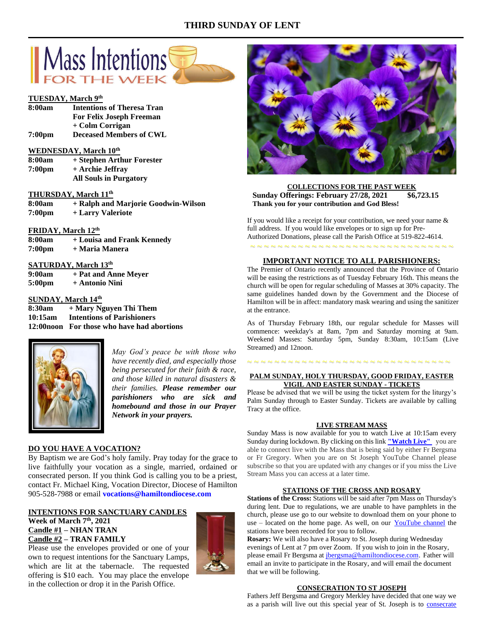# **THIRD SUNDAY OF LENT**



# **TUESDAY, March 9 th**

| 8:00am             | <b>Intentions of Theresa Tran</b> |
|--------------------|-----------------------------------|
|                    | <b>For Felix Joseph Freeman</b>   |
|                    | + Colm Corrigan                   |
| 7:00 <sub>pm</sub> | <b>Deceased Members of CWL</b>    |

# **WEDNESDAY, March 10th**

| 8:00am             | + Stephen Arthur Forester     |
|--------------------|-------------------------------|
| 7:00 <sub>pm</sub> | + Archie Jeffrav              |
|                    | <b>All Souls in Purgatory</b> |

# **THURSDAY, March 11th**

| 8:00am             | + Ralph and Marjorie Goodwin-Wilson |
|--------------------|-------------------------------------|
| 7:00 <sub>pm</sub> | + Larry Valeriote                   |

## **FRIDAY, March 12th**

| 8:00am             | + Louisa and Frank Kennedy |
|--------------------|----------------------------|
| 7:00 <sub>pm</sub> | + Maria Manera             |

## **SATURDAY, March 13th**

**9:00am + Pat and Anne Meyer 5:00pm + Antonio Nini**

# **SUNDAY, March 14th**

**8:30am + Mary Nguyen Thi Them 10:15am Intentions of Parishioners 12:00noon For those who have had abortions**



*May God's peace be with those who have recently died, and especially those being persecuted for their faith & race, and those killed in natural disasters & their families. Please remember our parishioners who are sick and homebound and those in our Prayer Network in your prayers.*

# **DO YOU HAVE A VOCATION?**

By Baptism we are God's holy family. Pray today for the grace to live faithfully your vocation as a single, married, ordained or consecrated person. If you think God is calling you to be a priest, contact Fr. Michael King, Vocation Director, Diocese of Hamilton 905-528-7988 or email **vocations@hamiltondiocese.com** 

# **INTENTIONS FOR SANCTUARY CANDLES**

**Week of March 7th, 2021 Candle #1 – NHAN TRAN Candle #2 – TRAN FAMILY**



**COLLECTIONS FOR THE PAST WEEK Sunday Offerings: February 27/28, 2021 \$6,723.15 Thank you for your contribution and God Bless!**

If you would like a receipt for your contribution, we need your name & full address. If you would like envelopes or to sign up for Pre-Authorized Donations, please call the Parish Office at 519-822-4614.

~ ~ ~ ~ ~ ~ ~ ~ ~ ~ ~ ~ ~ ~ ~ ~ ~ ~ ~ ~ ~ ~ ~ ~ ~ ~ ~ ~ ~ ~

# **IMPORTANT NOTICE TO ALL PARISHIONERS:**

The Premier of Ontario recently announced that the Province of Ontario will be easing the restrictions as of Tuesday February 16th. This means the church will be open for regular scheduling of Masses at 30% capacity. The same guidelines handed down by the Government and the Diocese of Hamilton will be in affect: mandatory mask wearing and using the sanitizer at the entrance.

As of Thursday February 18th, our regular schedule for Masses will commence: weekday's at 8am, 7pm and Saturday morning at 9am. Weekend Masses: Saturday 5pm, Sunday 8:30am, 10:15am (Live Streamed) and 12noon.

# ~ ~ ~ ~ ~ ~ ~ ~ ~ ~ ~ ~ ~ ~ ~ ~ ~ ~ ~ ~ ~ ~ ~ ~ ~ ~ ~ ~ ~ ~

# **PALM SUNDAY, HOLY THURSDAY, GOOD FRIDAY, EASTER VIGIL AND EASTER SUNDAY - TICKETS**

Please be advised that we will be using the ticket system for the liturgy's Palm Sunday through to Easter Sunday. Tickets are available by calling Tracy at the office.

### **LIVE STREAM MASS**

Sunday Mass is now available for you to watch Live at 10:15am every Sunday during lockdown. By clicking on this link **["Watch](https://www.youtube.com/channel/UCL59hxegD__FDJSdMDrt31w) Live"** you are able to connect live with the Mass that is being said by either Fr Bergsma or Fr Gregory. When you are on St Joseph YouTube Channel please subscribe so that you are updated with any changes or if you miss the Live Stream Mass you can access at a later time.

## **STATIONS OF THE CROSS AND ROSARY**

**Stations of the Cross:** Stations will be said after 7pm Mass on Thursday's during lent. Due to regulations, we are unable to have pamphlets in the church, please use go to our website to download them on your phone to use – located on the home page. As well, on our [YouTube channel](https://www.youtube.com/channel/UCL59hxegD__FDJSdMDrt31w) the stations have been recorded for you to follow.

**Rosary:** We will also have a Rosary to St. Joseph during Wednesday evenings of Lent at 7 pm over Zoom. If you wish to join in the Rosary, please email Fr Bergsma at [jbergsma@hamiltondiocese.com.](mailto:jbergsma@hamiltondiocese.com) Father will email an invite to participate in the Rosary, and will email the document that we will be following.

## **CONSECRATION TO ST JOSEPH**

Fathers Jeff Bergsma and Gregory Merkley have decided that one way we as a parish will live out this special year of St. Joseph is to [consecrate](https://www.consecrationtostjoseph.org/introduction.html) 

in the collection or drop it in the Parish Office.